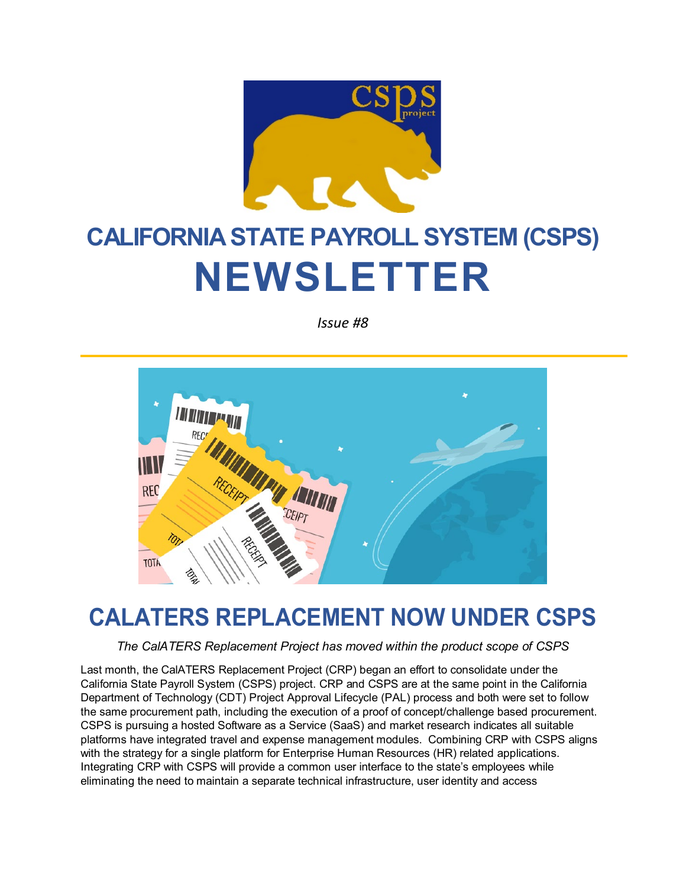

# **CALIFORNIA STATE PAYROLL SYSTEM (CSPS) NEWSLETTER**

*Issue #8*



## **CALATERS REPLACEMENT NOW UNDER CSPS**

#### *The CalATERS Replacement Project has moved within the product scope of CSPS*

Last month, the CalATERS Replacement Project (CRP) began an effort to consolidate under the California State Payroll System (CSPS) project. CRP and CSPS are at the same point in the California Department of Technology (CDT) Project Approval Lifecycle (PAL) process and both were set to follow the same procurement path, including the execution of a proof of concept/challenge based procurement. CSPS is pursuing a hosted Software as a Service (SaaS) and market research indicates all suitable platforms have integrated travel and expense management modules. Combining CRP with CSPS aligns with the strategy for a single platform for Enterprise Human Resources (HR) related applications. Integrating CRP with CSPS will provide a common user interface to the state's employees while eliminating the need to maintain a separate technical infrastructure, user identity and access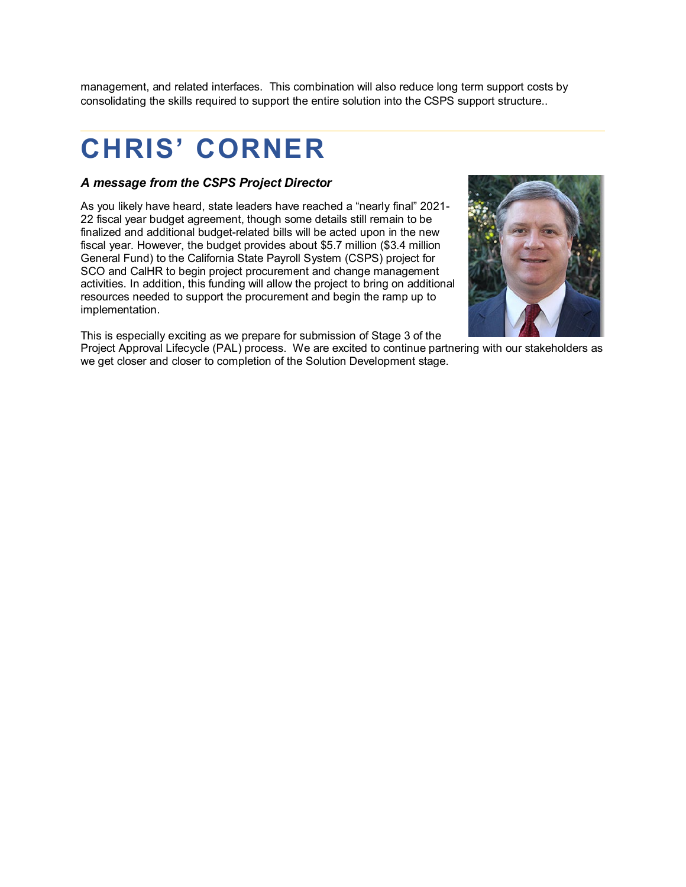management, and related interfaces. This combination will also reduce long term support costs by consolidating the skills required to support the entire solution into the CSPS support structure..

## **CHRIS' CORNER**

#### *A message from the CSPS Project Director*

As you likely have heard, state leaders have reached a "nearly final" 2021- 22 fiscal year budget agreement, though some details still remain to be finalized and additional budget-related bills will be acted upon in the new fiscal year. However, the budget provides about \$5.7 million (\$3.4 million General Fund) to the California State Payroll System (CSPS) project for SCO and CalHR to begin project procurement and change management activities. In addition, this funding will allow the project to bring on additional resources needed to support the procurement and begin the ramp up to implementation.



This is especially exciting as we prepare for submission of Stage 3 of the

Project Approval Lifecycle (PAL) process. We are excited to continue partnering with our stakeholders as we get closer and closer to completion of the Solution Development stage.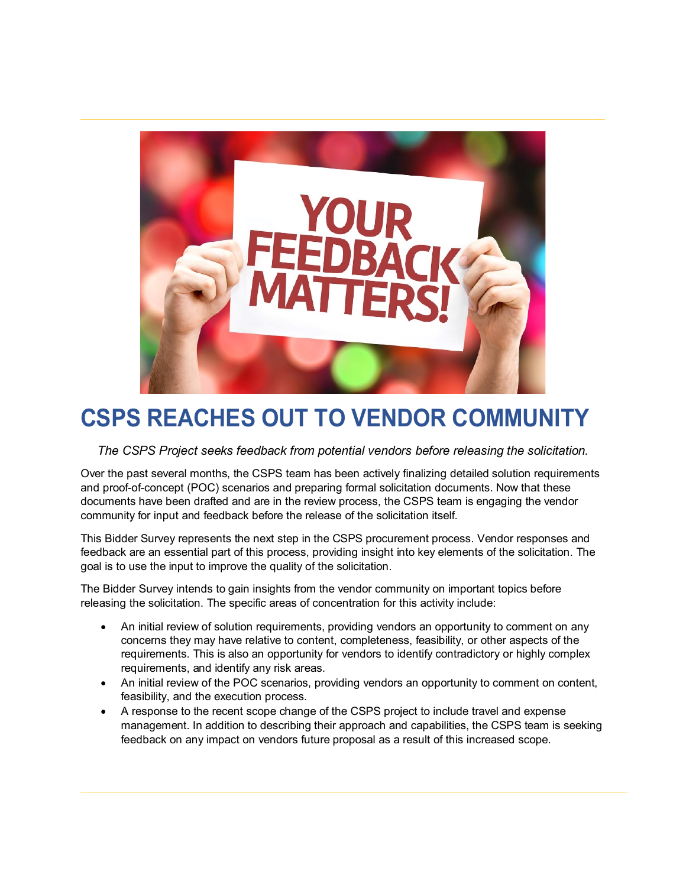

## **CSPS REACHES OUT TO VENDOR COMMUNITY**

*The CSPS Project seeks feedback from potential vendors before releasing the solicitation.*

Over the past several months, the CSPS team has been actively finalizing detailed solution requirements and proof-of-concept (POC) scenarios and preparing formal solicitation documents. Now that these documents have been drafted and are in the review process, the CSPS team is engaging the vendor community for input and feedback before the release of the solicitation itself.

This Bidder Survey represents the next step in the CSPS procurement process. Vendor responses and feedback are an essential part of this process, providing insight into key elements of the solicitation. The goal is to use the input to improve the quality of the solicitation.

The Bidder Survey intends to gain insights from the vendor community on important topics before releasing the solicitation. The specific areas of concentration for this activity include:

- An initial review of solution requirements, providing vendors an opportunity to comment on any concerns they may have relative to content, completeness, feasibility, or other aspects of the requirements. This is also an opportunity for vendors to identify contradictory or highly complex requirements, and identify any risk areas.
- An initial review of the POC scenarios, providing vendors an opportunity to comment on content, feasibility, and the execution process.
- A response to the recent scope change of the CSPS project to include travel and expense management. In addition to describing their approach and capabilities, the CSPS team is seeking feedback on any impact on vendors future proposal as a result of this increased scope.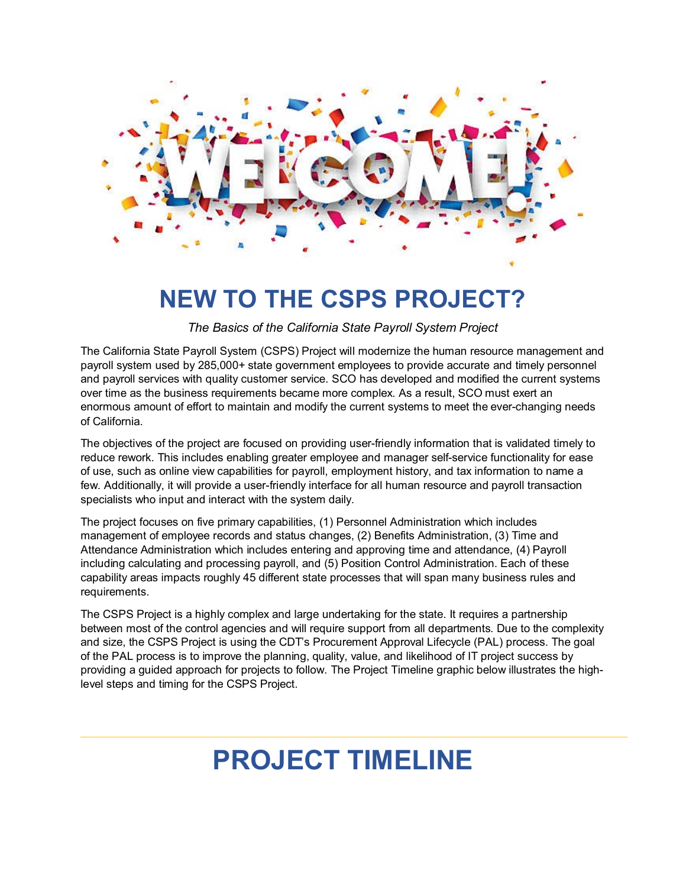

### **NEW TO THE CSPS PROJECT?**

*The Basics of the California State Payroll System Project*

The California State Payroll System (CSPS) Project will modernize the human resource management and payroll system used by 285,000+ state government employees to provide accurate and timely personnel and payroll services with quality customer service. SCO has developed and modified the current systems over time as the business requirements became more complex. As a result, SCO must exert an enormous amount of effort to maintain and modify the current systems to meet the ever-changing needs of California.

The objectives of the project are focused on providing user-friendly information that is validated timely to reduce rework. This includes enabling greater employee and manager self-service functionality for ease of use, such as online view capabilities for payroll, employment history, and tax information to name a few. Additionally, it will provide a user-friendly interface for all human resource and payroll transaction specialists who input and interact with the system daily.

The project focuses on five primary capabilities, (1) Personnel Administration which includes management of employee records and status changes, (2) Benefits Administration, (3) Time and Attendance Administration which includes entering and approving time and attendance, (4) Payroll including calculating and processing payroll, and (5) Position Control Administration. Each of these capability areas impacts roughly 45 different state processes that will span many business rules and requirements.

The CSPS Project is a highly complex and large undertaking for the state. It requires a partnership between most of the control agencies and will require support from all departments. Due to the complexity and size, the CSPS Project is using the CDT's Procurement Approval Lifecycle (PAL) process. The goal of the PAL process is to improve the planning, quality, value, and likelihood of IT project success by providing a guided approach for projects to follow. The Project Timeline graphic below illustrates the highlevel steps and timing for the CSPS Project.

## **PROJECT TIMELINE**